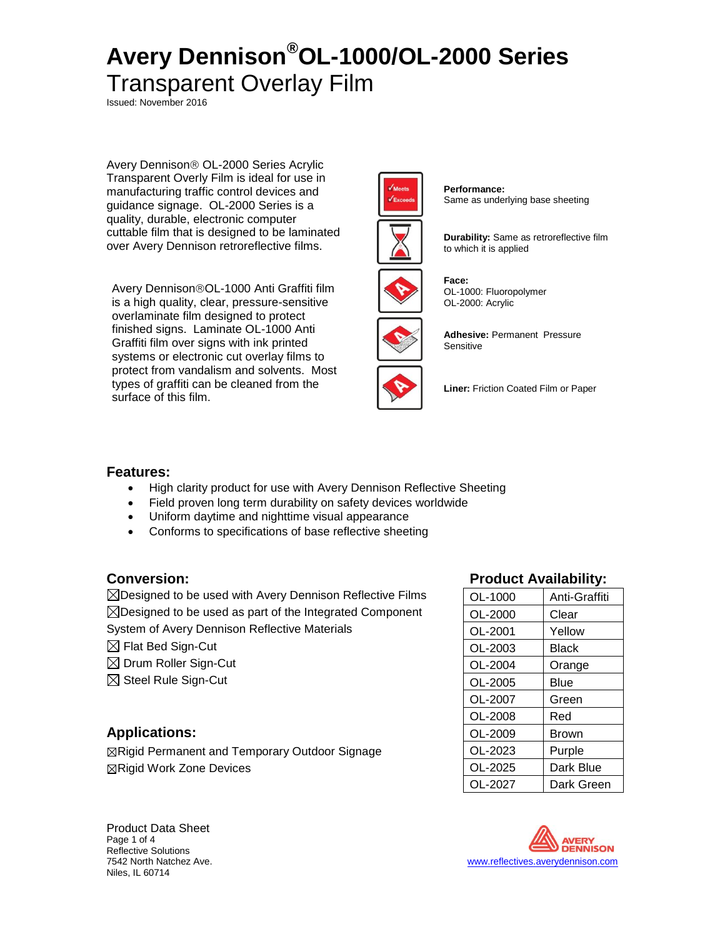Issued: November 2016

Avery Dennison<sup>®</sup> OL-2000 Series Acrylic Transparent Overly Film is ideal for use in manufacturing traffic control devices and guidance signage. OL-2000 Series is a quality, durable, electronic computer cuttable film that is designed to be laminated over Avery Dennison retroreflective films.

Avery Dennison®OL-1000 Anti Graffiti film is a high quality, clear, pressure-sensitive overlaminate film designed to protect finished signs. Laminate OL-1000 Anti Graffiti film over signs with ink printed systems or electronic cut overlay films to protect from vandalism and solvents. Most types of graffiti can be cleaned from the surface of this film.



**Performance:** Same as underlying base sheeting



**Durability:** Same as retroreflective film to which it is applied



**Face:** OL-1000: Fluoropolymer OL-2000: Acrylic



**Adhesive:** Permanent Pressure **Sensitive** 

**Liner:** Friction Coated Film or Paper

## **Features:**

- High clarity product for use with Avery Dennison Reflective Sheeting
- Field proven long term durability on safety devices worldwide
- Uniform daytime and nighttime visual appearance
- Conforms to specifications of base reflective sheeting

 $\boxtimes$ Designed to be used with Avery Dennison Reflective Films  $\boxtimes$ Designed to be used as part of the Integrated Component

System of Avery Dennison Reflective Materials

- $\boxtimes$  Flat Bed Sign-Cut
- $\boxtimes$  Drum Roller Sign-Cut
- $\boxtimes$  Steel Rule Sign-Cut

## **Applications:**

 $\boxtimes$  Rigid Permanent and Temporary Outdoor Signage  $\boxtimes$ Rigid Work Zone Devices

# **Conversion: Product Availability:**

| OL-1000 | Anti-Graffiti |
|---------|---------------|
| OL-2000 | Clear         |
| OL-2001 | Yellow        |
| OL-2003 | Black         |
| OL-2004 | Orange        |
| OL-2005 | Blue          |
| OL-2007 | Green         |
| OL-2008 | Red           |
| OL-2009 | Brown         |
| OL-2023 | Purple        |
| OL-2025 | Dark Blue     |
| OL-2027 | Dark Green    |



Product Data Sheet Page 1 of 4 Reflective Solutions Niles, IL 60714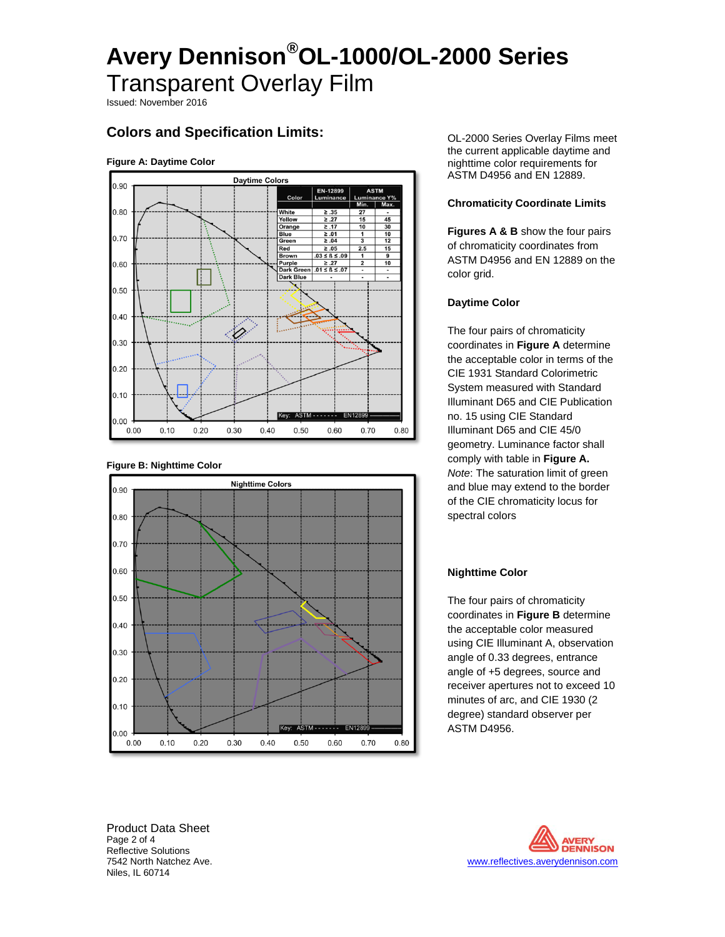Issued: November 2016

# **Colors and Specification Limits:**

### **Figure A: Daytime Color**







OL-2000 Series Overlay Films meet the current applicable daytime and nighttime color requirements for ASTM D4956 and EN 12889.

### **Chromaticity Coordinate Limits**

**Figures A & B** show the four pairs of chromaticity coordinates from ASTM D4956 and EN 12889 on the color grid.

### **Daytime Color**

The four pairs of chromaticity coordinates in **Figure A** determine the acceptable color in terms of the CIE 1931 Standard Colorimetric System measured with Standard Illuminant D65 and CIE Publication no. 15 using CIE Standard Illuminant D65 and CIE 45/0 geometry. Luminance factor shall comply with table in **Figure A.** *Note*: The saturation limit of green and blue may extend to the border of the CIE chromaticity locus for spectral colors

### **Nighttime Color**

The four pairs of chromaticity coordinates in **Figure B** determine the acceptable color measured using CIE Illuminant A, observation angle of 0.33 degrees, entrance angle of +5 degrees, source and receiver apertures not to exceed 10 minutes of arc, and CIE 1930 (2 degree) standard observer per ASTM D4956.

Product Data Sheet Page 2 of 4 Reflective Solutions Niles, IL 60714

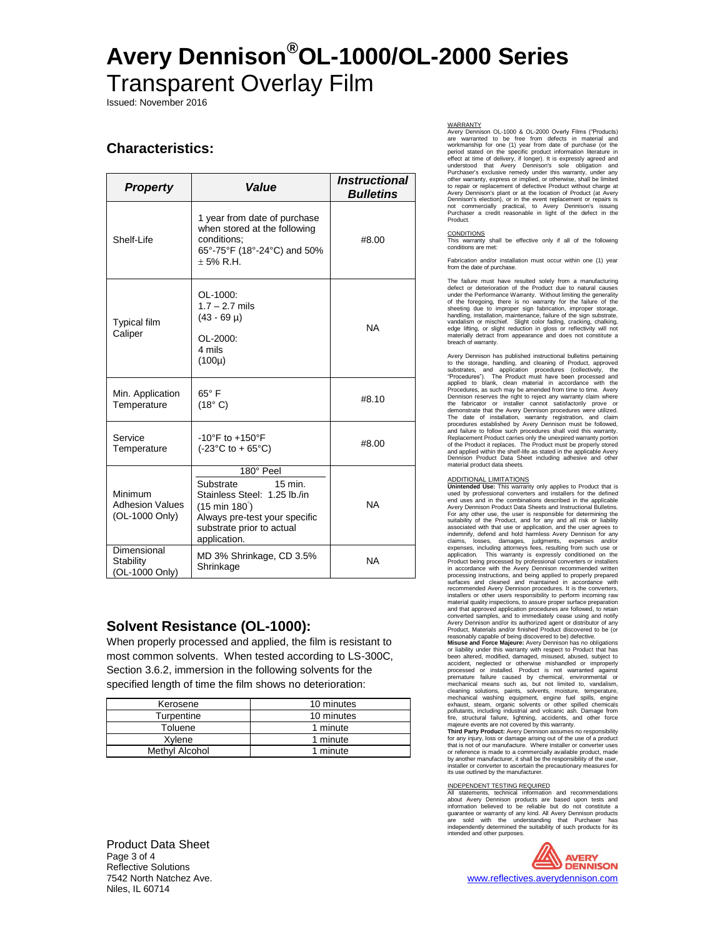Issued: November 2016

## **Characteristics:**

| <b>Property</b>                                     | Value                                                                                                                                                                              | <i><b>Instructional</b></i><br><b>Bulletins</b> |
|-----------------------------------------------------|------------------------------------------------------------------------------------------------------------------------------------------------------------------------------------|-------------------------------------------------|
| Shelf-Life                                          | 1 year from date of purchase<br>when stored at the following<br>conditions:<br>65°-75°F (18°-24°C) and 50%<br>$+5%$ R.H.                                                           | #8.00                                           |
| <b>Typical film</b><br>Caliper                      | OL-1000:<br>$1.7 - 2.7$ mils<br>$(43 - 69 \mu)$<br>OL-2000:<br>4 mils<br>$(100 \mu)$                                                                                               | <b>NA</b>                                       |
| Min. Application<br>Temperature                     | $65^{\circ}$ F<br>(18° C)                                                                                                                                                          | #8.10                                           |
| Service<br>Temperature                              | $-10^{\circ}$ F to $+150^{\circ}$ F<br>$(-23^{\circ}C \text{ to } +65^{\circ}C)$                                                                                                   | #8.00                                           |
| Minimum<br><b>Adhesion Values</b><br>(OL-1000 Only) | 180° Peel<br>15 min.<br>Substrate<br>Stainless Steel: 1.25 lb./in<br>$(15 \text{ min } 180^{\circ})$<br>Always pre-test your specific<br>substrate prior to actual<br>application. | <b>NA</b>                                       |
| Dimensional<br>Stability<br>(OL-1000 Only)          | MD 3% Shrinkage, CD 3.5%<br>Shrinkage                                                                                                                                              | <b>NA</b>                                       |

## **Solvent Resistance (OL-1000):**

When properly processed and applied, the film is resistant to most common solvents. When tested according to LS-300C, Section 3.6.2, immersion in the following solvents for the specified length of time the film shows no deterioration:

| Kerosene       | 10 minutes |
|----------------|------------|
| Turpentine     | 10 minutes |
| Toluene        | 1 minute   |
| Xvlene         | 1 minute   |
| Methyl Alcohol | 1 minute   |

WARRANTY<br>Avery Dennison OL-1000 & OL-2000 Overly Films ("Products)<br>are warranted to be free from defects in material and workmanship for one (1) year from date of purchase (or the<br>period stated on the specific product information literature in<br>effect at time of delivery, if longer). It is expressly agreed and<br>understood that Avery Demison's to repair or replacement of defective Product without charge at<br>Avery Dennison's plant or at the location of Product (at Avery<br>Dennison's election), or in the event replacement or repairs is<br>not commercially practical, to

CONDITIONS This warranty shall be effective only if all of the following This warranty sha

Fabrication and/or installation must occur within one (1) year from the date of purchase.

The failure must have resulted solely from a manufacturing defect or deterioration of the Product due to natural causes under the Performance Warranty. Without limiting the generality<br>of the foregoing, there is no warranty for the failure of the<br>sheeting due to improper sign fabrication, improper storage,<br>handling, installation, maintenance materially detract from appearance and does not constitute a breach of warranty.

Avery Dennison has published instructional bulletins pertaining to the storage, handling, and cleaning of Product, approved substrates, and application procedures (collectively, the "Procedures"). The Product must have been processed and applied to blank, clean material in accordance with the Procedures, as such may be amended from time to time. Avery Dennison reserves the right to reject any warranty claim where the fabricator or installer cannot satisfactorily prove or demonstrate that the Avery Dennison procedures were utilized. The date of installation, warranty registration, and claim procedures established by Avery Dennison must be followed, and failure to follow such procedures shall void this warranty. Replacement Product carries only the unexpired warranty portion of the Product it replaces. The Product must be properly stored and applied within the shelf-life as stated in the applicable Avery Dennison Product Data Sheet including adhesive and other material product data sheets.

ADDITIONAL LIMITATIONS<br>**Unintended Use:** This warranty only applies to Product that is<br>used by professional converters and installers for the defined<br>end uses and in the combinations described in the applicable Avery Dennison Product Data Sheets and Instructional Bulletins,<br>For any other use, the user is responsible for determining the<br>suitability of the Product, and for any and all risk or liability<br>associated with that use or a recommended Avery Dennison procedures. It is the converters,<br>installers or other users responsibility to perform incoming raw<br>material quality inspections, to assure proper surface preparation<br>and that approved application converted samples, and to immediately cease using and notify Avery Dennison and/or its authorized agent or distributor of any Product, Materials and/or finished Product discovered to be (or

reasonably capable of being discovered to be) defective.<br>**Misuse and Force Majeure:** Avery Dennison has no obligations<br>or liability under this warranty with respect to Product that has been altered, modified, damaged, misused, abused, subject to accident, neglected or otherwise mishandled or improperly processed or installed. Product is not warranted against premature failure caused by chemical, environmental or mechanical means such as, but not limited to, vandalism, cleaning solutions, paints, solvents, moisture, temperature, mechanical washing equipment, engine fuel spills, engine exhaust, steam, organic solvents or other spilled chemicals pollutants, including industrial and volcanic ash. Damage from<br>fire, structural failure, lightning, accidents, and other force<br>majeure events are not covered by this warranty.<br>**Third Party Product:** Avery Dennison assumes

for any injury, loss or damage arising out of the use of a product that is not of our manufacture. Where installer or converter uses or reference is made to a commercially available product, made by another manufacturer, it shall be the responsibility of the user, installer or converter to ascertain the precautionary measures for its use outlined by the manufacturer.

INDEPENDENT TESTING REQUIRED<br>All statements, technical information and recommendations<br>about Avery Dennison products are based upon tests and<br>anformation believed to be reliable but do not constitute a<br>guarantee or warrant intended and other purposes.

> **NAVERY**<br>DENNISON www.reflectives.averydennison.com

Product Data Sheet Page 3 of 4 Reflective Solutions<br>7542 North Natchez Ave. Niles, IL 60714